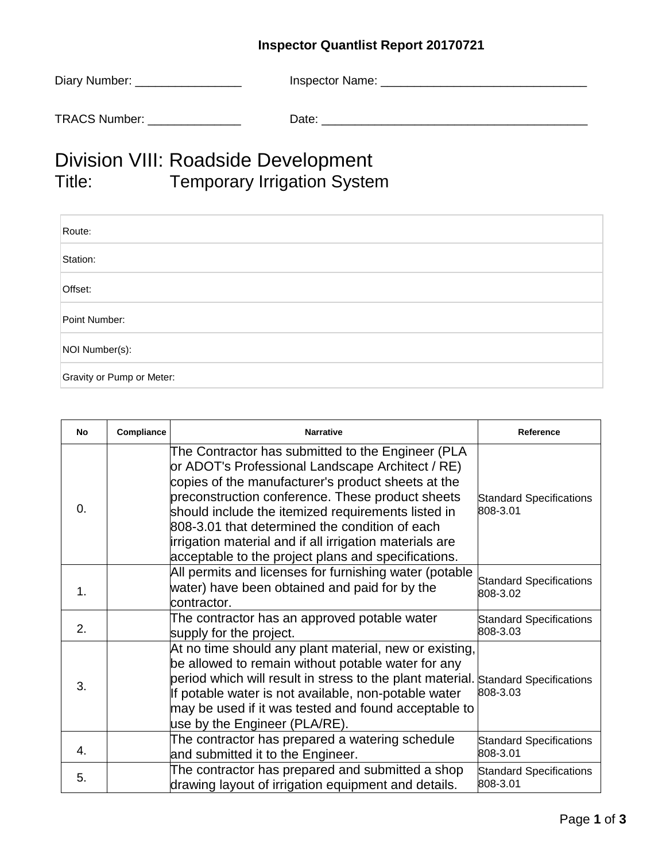## **Inspector Quantlist Report 20170721**

| Diary Number:        | Inspector Name: |
|----------------------|-----------------|
| <b>TRACS Number:</b> | Date:           |

## Division VIII: Roadside Development<br>Title: Temporary Irrigation Syster Temporary Irrigation System

| Route:                    |
|---------------------------|
| Station:                  |
| Offset:                   |
| Point Number:             |
| NOI Number(s):            |
| Gravity or Pump or Meter: |

| No         | Compliance | <b>Narrative</b>                                                                                                                                                                                                                                                                                                                                                                                                                          | Reference                                  |
|------------|------------|-------------------------------------------------------------------------------------------------------------------------------------------------------------------------------------------------------------------------------------------------------------------------------------------------------------------------------------------------------------------------------------------------------------------------------------------|--------------------------------------------|
| $\Omega$ . |            | The Contractor has submitted to the Engineer (PLA<br>or ADOT's Professional Landscape Architect / RE)<br>copies of the manufacturer's product sheets at the<br>preconstruction conference. These product sheets<br>should include the itemized requirements listed in<br>808-3.01 that determined the condition of each<br>irrigation material and if all irrigation materials are<br>acceptable to the project plans and specifications. | <b>Standard Specifications</b><br>808-3.01 |
| 1.         |            | All permits and licenses for furnishing water (potable<br>water) have been obtained and paid for by the<br>contractor.                                                                                                                                                                                                                                                                                                                    | <b>Standard Specifications</b><br>808-3.02 |
| 2.         |            | The contractor has an approved potable water<br>supply for the project.                                                                                                                                                                                                                                                                                                                                                                   | <b>Standard Specifications</b><br>808-3.03 |
| 3.         |            | At no time should any plant material, new or existing,<br>be allowed to remain without potable water for any<br>period which will result in stress to the plant material.<br>If potable water is not available, non-potable water<br>may be used if it was tested and found acceptable to<br>use by the Engineer (PLA/RE).                                                                                                                | <b>Standard Specifications</b><br>808-3.03 |
| 4.         |            | The contractor has prepared a watering schedule<br>and submitted it to the Engineer.                                                                                                                                                                                                                                                                                                                                                      | <b>Standard Specifications</b><br>808-3.01 |
| 5.         |            | The contractor has prepared and submitted a shop<br>drawing layout of irrigation equipment and details.                                                                                                                                                                                                                                                                                                                                   | <b>Standard Specifications</b><br>808-3.01 |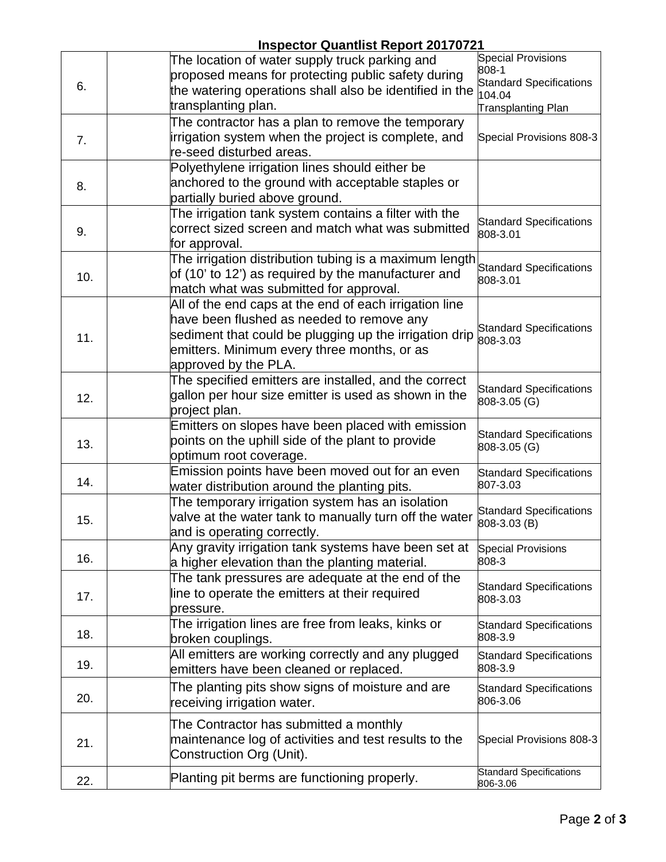## **Inspector Quantlist Report 20170721**

|     | <u>Inopeotor Quantilot Report Zo Front</u>                                                            |                                                |
|-----|-------------------------------------------------------------------------------------------------------|------------------------------------------------|
|     | The location of water supply truck parking and                                                        | <b>Special Provisions</b><br>808-1             |
| 6.  | proposed means for protecting public safety during                                                    | <b>Standard Specifications</b>                 |
|     | the watering operations shall also be identified in the                                               | 104.04                                         |
|     | transplanting plan.                                                                                   | <b>Transplanting Plan</b>                      |
|     | The contractor has a plan to remove the temporary                                                     |                                                |
| 7.  | irrigation system when the project is complete, and                                                   | Special Provisions 808-3                       |
|     | re-seed disturbed areas.                                                                              |                                                |
|     | Polyethylene irrigation lines should either be                                                        |                                                |
| 8.  | anchored to the ground with acceptable staples or                                                     |                                                |
|     | partially buried above ground.                                                                        |                                                |
|     | The irrigation tank system contains a filter with the                                                 | <b>Standard Specifications</b>                 |
| 9.  | correct sized screen and match what was submitted                                                     | 808-3.01                                       |
|     | for approval.                                                                                         |                                                |
|     | The irrigation distribution tubing is a maximum length                                                | <b>Standard Specifications</b>                 |
| 10. | of (10' to 12') as required by the manufacturer and                                                   | 808-3.01                                       |
|     | match what was submitted for approval.                                                                |                                                |
|     | All of the end caps at the end of each irrigation line<br>have been flushed as needed to remove any   |                                                |
|     |                                                                                                       | <b>Standard Specifications</b>                 |
| 11. | sediment that could be plugging up the irrigation drip<br>emitters. Minimum every three months, or as | 808-3.03                                       |
|     | approved by the PLA.                                                                                  |                                                |
|     | The specified emitters are installed, and the correct                                                 |                                                |
|     | gallon per hour size emitter is used as shown in the                                                  | <b>Standard Specifications</b>                 |
| 12. | project plan.                                                                                         | 808-3.05 (G)                                   |
|     | Emitters on slopes have been placed with emission                                                     |                                                |
| 13. | points on the uphill side of the plant to provide                                                     | <b>Standard Specifications</b>                 |
|     | optimum root coverage.                                                                                | 808-3.05 (G)                                   |
|     | Emission points have been moved out for an even                                                       | <b>Standard Specifications</b>                 |
| 14. | water distribution around the planting pits.                                                          | 807-3.03                                       |
|     | The temporary irrigation system has an isolation                                                      |                                                |
| 15. | valve at the water tank to manually turn off the water                                                | <b>Standard Specifications</b><br>808-3.03 (B) |
|     | and is operating correctly.                                                                           |                                                |
|     | Any gravity irrigation tank systems have been set at                                                  | <b>Special Provisions</b>                      |
| 16. | a higher elevation than the planting material.                                                        | 808-3                                          |
|     | The tank pressures are adequate at the end of the                                                     | <b>Standard Specifications</b>                 |
| 17. | line to operate the emitters at their required                                                        | 808-3.03                                       |
|     | pressure.                                                                                             |                                                |
| 18. | The irrigation lines are free from leaks, kinks or                                                    | <b>Standard Specifications</b>                 |
|     | broken couplings.                                                                                     | 808-3.9                                        |
| 19. | All emitters are working correctly and any plugged                                                    | <b>Standard Specifications</b>                 |
|     | emitters have been cleaned or replaced.                                                               | 808-3.9                                        |
|     | The planting pits show signs of moisture and are                                                      | <b>Standard Specifications</b>                 |
| 20. | receiving irrigation water.                                                                           | 806-3.06                                       |
|     | The Contractor has submitted a monthly                                                                |                                                |
| 21. | maintenance log of activities and test results to the                                                 | Special Provisions 808-3                       |
|     | Construction Org (Unit).                                                                              |                                                |
|     |                                                                                                       | <b>Standard Specifications</b>                 |
| 22. | Planting pit berms are functioning properly.                                                          | 806-3.06                                       |